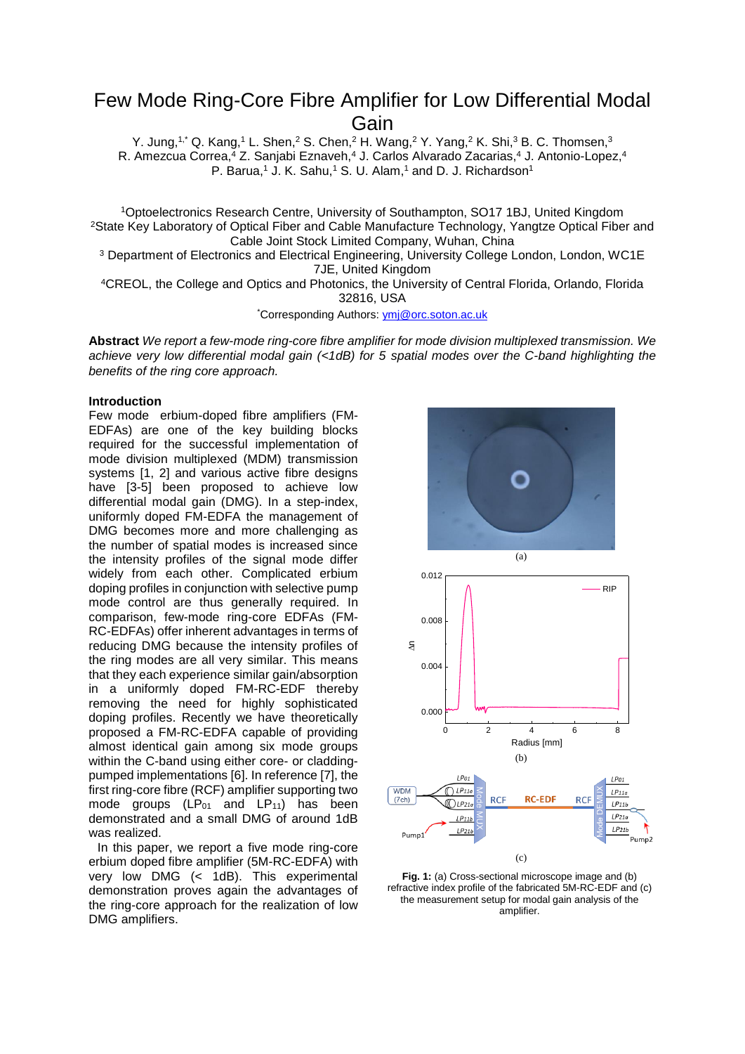# Few Mode Ring-Core Fibre Amplifier for Low Differential Modal Gain

Y. Jung,<sup>1,\*</sup> Q. Kang,<sup>1</sup> L. Shen,<sup>2</sup> S. Chen,<sup>2</sup> H. Wang,<sup>2</sup> Y. Yang,<sup>2</sup> K. Shi,<sup>3</sup> B. C. Thomsen,<sup>3</sup> R. Amezcua Correa,<sup>4</sup> Z. Sanjabi Eznaveh,<sup>4</sup> J. Carlos Alvarado Zacarias,<sup>4</sup> J. Antonio-Lopez,<sup>4</sup> P. Barua,<sup>1</sup> J. K. Sahu,<sup>1</sup> S. U. Alam,<sup>1</sup> and D. J. Richardson<sup>1</sup>

<sup>1</sup>Optoelectronics Research Centre, University of Southampton, SO17 1BJ, United Kingdom <sup>2</sup>State Key Laboratory of Optical Fiber and Cable Manufacture Technology, Yangtze Optical Fiber and Cable Joint Stock Limited Company, Wuhan, China

<sup>3</sup> Department of Electronics and Electrical Engineering, University College London, London, WC1E 7JE, United Kingdom

<sup>4</sup>CREOL, the College and Optics and Photonics, the University of Central Florida, Orlando, Florida 32816, USA

\*Corresponding Authors[: ymj@orc.soton.ac.uk](mailto:ymj@orc.soton.ac.uk)

**Abstract** *We report a few-mode ring-core fibre amplifier for mode division multiplexed transmission. We achieve very low differential modal gain (<1dB) for 5 spatial modes over the C-band highlighting the benefits of the ring core approach.*

### **Introduction**

Few mode erbium-doped fibre amplifiers (FM-EDFAs) are one of the key building blocks required for the successful implementation of mode division multiplexed (MDM) transmission systems [1, 2] and various active fibre designs have [3-5] been proposed to achieve low differential modal gain (DMG). In a step-index, uniformly doped FM-EDFA the management of DMG becomes more and more challenging as the number of spatial modes is increased since the intensity profiles of the signal mode differ widely from each other. Complicated erbium doping profiles in conjunction with selective pump mode control are thus generally required. In comparison, few-mode ring-core EDFAs (FM-RC-EDFAs) offer inherent advantages in terms of reducing DMG because the intensity profiles of the ring modes are all very similar. This means that they each experience similar gain/absorption in a uniformly doped FM-RC-EDF thereby removing the need for highly sophisticated doping profiles. Recently we have theoretically proposed a FM-RC-EDFA capable of providing almost identical gain among six mode groups within the C-band using either core- or claddingpumped implementations [6]. In reference [7], the first ring-core fibre (RCF) amplifier supporting two mode groups  $(LP_{01}$  and  $LP_{11}$ ) has been demonstrated and a small DMG of around 1dB was realized.

In this paper, we report a five mode ring-core erbium doped fibre amplifier (5M-RC-EDFA) with very low DMG (< 1dB). This experimental demonstration proves again the advantages of the ring-core approach for the realization of low DMG amplifiers.



**Fig. 1:** (a) Cross-sectional microscope image and (b) refractive index profile of the fabricated 5M-RC-EDF and (c) the measurement setup for modal gain analysis of the amplifier.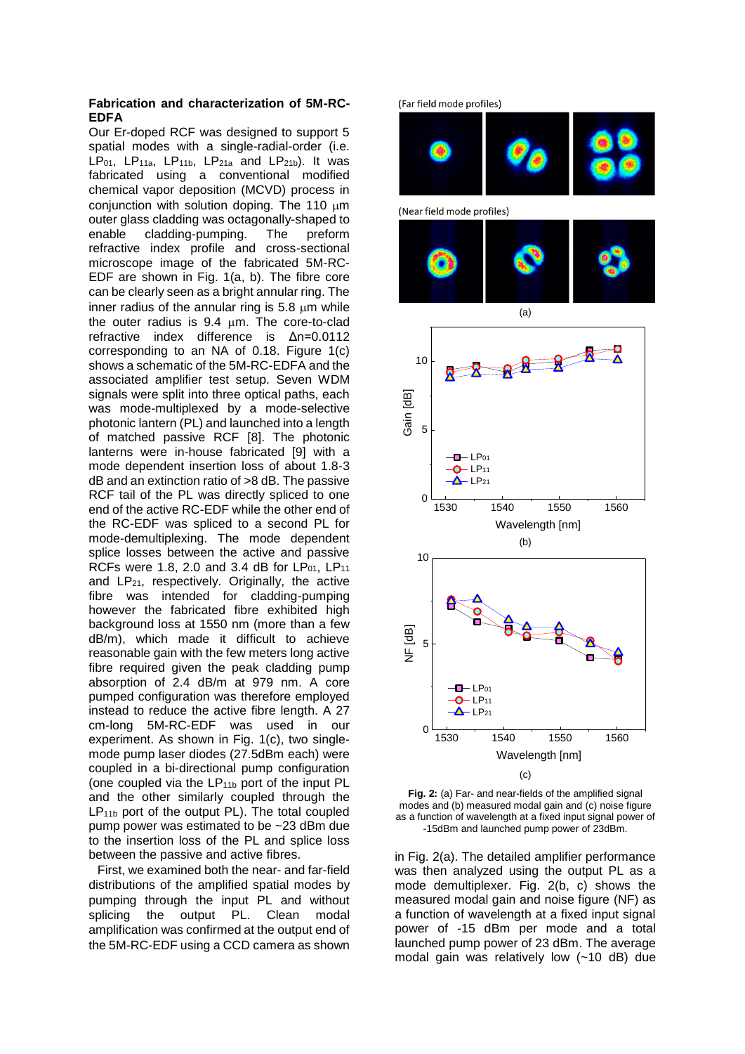## **Fabrication and characterization of 5M-RC-EDFA**

Our Er-doped RCF was designed to support 5 spatial modes with a single-radial-order (i.e. LP<sub>01</sub>, LP<sub>11a</sub>, LP<sub>11b</sub>, LP<sub>21a</sub> and LP<sub>21b</sub>). It was fabricated using a conventional modified chemical vapor deposition (MCVD) process in conjunction with solution doping. The  $110 \mu m$ outer glass cladding was octagonally-shaped to enable cladding-pumping. The preform refractive index profile and cross-sectional microscope image of the fabricated 5M-RC-EDF are shown in Fig. 1(a, b). The fibre core can be clearly seen as a bright annular ring. The inner radius of the annular ring is  $5.8 \mu m$  while the outer radius is  $9.4 \mu m$ . The core-to-clad refractive index difference is Δn=0.0112 corresponding to an NA of 0.18. Figure 1(c) shows a schematic of the 5M-RC-EDFA and the associated amplifier test setup. Seven WDM signals were split into three optical paths, each was mode-multiplexed by a mode-selective photonic lantern (PL) and launched into a length of matched passive RCF [8]. The photonic lanterns were in-house fabricated [9] with a mode dependent insertion loss of about 1.8-3 dB and an extinction ratio of >8 dB. The passive RCF tail of the PL was directly spliced to one end of the active RC-EDF while the other end of the RC-EDF was spliced to a second PL for mode-demultiplexing. The mode dependent splice losses between the active and passive RCFs were 1.8, 2.0 and 3.4 dB for  $LP_{01}$ , LP<sub>11</sub> and LP21, respectively. Originally, the active fibre was intended for cladding-pumping however the fabricated fibre exhibited high background loss at 1550 nm (more than a few dB/m), which made it difficult to achieve reasonable gain with the few meters long active fibre required given the peak cladding pump absorption of 2.4 dB/m at 979 nm. A core pumped configuration was therefore employed instead to reduce the active fibre length. A 27 cm-long 5M-RC-EDF was used in our experiment. As shown in Fig. 1(c), two singlemode pump laser diodes (27.5dBm each) were coupled in a bi-directional pump configuration (one coupled via the  $LP_{11b}$  port of the input PL and the other similarly coupled through the  $LP_{11b}$  port of the output PL). The total coupled pump power was estimated to be ~23 dBm due to the insertion loss of the PL and splice loss between the passive and active fibres.

First, we examined both the near- and far-field distributions of the amplified spatial modes by pumping through the input PL and without splicing the output PL. Clean modal amplification was confirmed at the output end of the 5M-RC-EDF using a CCD camera as shown



**Fig. 2:** (a) Far- and near-fields of the amplified signal modes and (b) measured modal gain and (c) noise figure as a function of wavelength at a fixed input signal power of -15dBm and launched pump power of 23dBm.

in Fig. 2(a). The detailed amplifier performance was then analyzed using the output PL as a mode demultiplexer. Fig. 2(b, c) shows the measured modal gain and noise figure (NF) as a function of wavelength at a fixed input signal power of -15 dBm per mode and a total launched pump power of 23 dBm. The average modal gain was relatively low (~10 dB) due